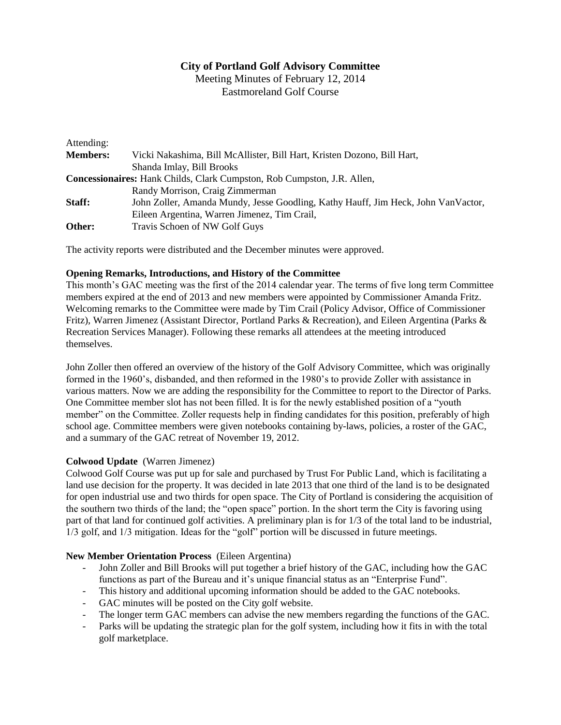# **City of Portland Golf Advisory Committee**

Meeting Minutes of February 12, 2014 Eastmoreland Golf Course

| Attending:      |                                                                                   |
|-----------------|-----------------------------------------------------------------------------------|
| <b>Members:</b> | Vicki Nakashima, Bill McAllister, Bill Hart, Kristen Dozono, Bill Hart,           |
|                 | Shanda Imlay, Bill Brooks                                                         |
|                 | <b>Concessionaires:</b> Hank Childs, Clark Cumpston, Rob Cumpston, J.R. Allen,    |
|                 | Randy Morrison, Craig Zimmerman                                                   |
| Staff:          | John Zoller, Amanda Mundy, Jesse Goodling, Kathy Hauff, Jim Heck, John VanVactor, |
|                 | Eileen Argentina, Warren Jimenez, Tim Crail,                                      |
| Other:          | Travis Schoen of NW Golf Guys                                                     |

The activity reports were distributed and the December minutes were approved.

### **Opening Remarks, Introductions, and History of the Committee**

This month's GAC meeting was the first of the 2014 calendar year. The terms of five long term Committee members expired at the end of 2013 and new members were appointed by Commissioner Amanda Fritz. Welcoming remarks to the Committee were made by Tim Crail (Policy Advisor, Office of Commissioner Fritz), Warren Jimenez (Assistant Director, Portland Parks & Recreation), and Eileen Argentina (Parks & Recreation Services Manager). Following these remarks all attendees at the meeting introduced themselves.

John Zoller then offered an overview of the history of the Golf Advisory Committee, which was originally formed in the 1960's, disbanded, and then reformed in the 1980's to provide Zoller with assistance in various matters. Now we are adding the responsibility for the Committee to report to the Director of Parks. One Committee member slot has not been filled. It is for the newly established position of a "youth member" on the Committee. Zoller requests help in finding candidates for this position, preferably of high school age. Committee members were given notebooks containing by-laws, policies, a roster of the GAC, and a summary of the GAC retreat of November 19, 2012.

### **Colwood Update** (Warren Jimenez)

Colwood Golf Course was put up for sale and purchased by Trust For Public Land, which is facilitating a land use decision for the property. It was decided in late 2013 that one third of the land is to be designated for open industrial use and two thirds for open space. The City of Portland is considering the acquisition of the southern two thirds of the land; the "open space" portion. In the short term the City is favoring using part of that land for continued golf activities. A preliminary plan is for 1/3 of the total land to be industrial, 1/3 golf, and 1/3 mitigation. Ideas for the "golf" portion will be discussed in future meetings.

### **New Member Orientation Process** (Eileen Argentina)

- John Zoller and Bill Brooks will put together a brief history of the GAC, including how the GAC functions as part of the Bureau and it's unique financial status as an "Enterprise Fund".
- This history and additional upcoming information should be added to the GAC notebooks.
- GAC minutes will be posted on the City golf website.
- The longer term GAC members can advise the new members regarding the functions of the GAC.
- Parks will be updating the strategic plan for the golf system, including how it fits in with the total golf marketplace.